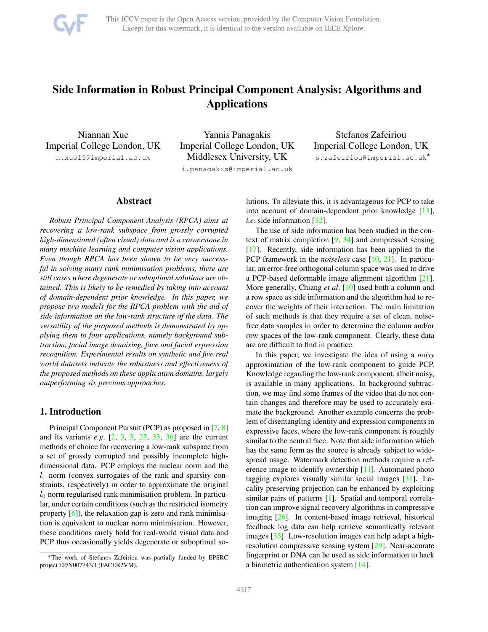

# <span id="page-0-0"></span>Side Information in Robust Principal Component Analysis: Algorithms and Applications

Niannan Xue Imperial College London, UK n.xue15@imperial.ac.uk

Yannis Panagakis Imperial College London, UK Middlesex University, UK

Stefanos Zafeiriou Imperial College London, UK s.zafeiriou@imperial.ac.uk<sup>\*</sup>

i.panagakis@imperial.ac.uk

## Abstract

*Robust Principal Component Analysis (RPCA) aims at recovering a low-rank subspace from grossly corrupted high-dimensional (often visual) data and is a cornerstone in many machine learning and computer vision applications. Even though RPCA has been shown to be very successful in solving many rank minimisation problems, there are still cases where degenerate or suboptimal solutions are obtained. This is likely to be remedied by taking into account of domain-dependent prior knowledge. In this paper, we propose two models for the RPCA problem with the aid of side information on the low-rank structure of the data. The versatility of the proposed methods is demonstrated by applying them to four applications, namely background subtraction, facial image denoising, face and facial expression recognition. Experimental results on synthetic and five real world datasets indicate the robustness and effectiveness of the proposed methods on these application domains, largely outperforming six previous approaches.*

## 1. Introduction

Principal Component Pursuit (PCP) as proposed in [\[7,](#page-8-0) [8\]](#page-8-1) and its variants *e.g*. [\[2,](#page-8-2) [3,](#page-8-3) [5,](#page-8-4) [25,](#page-8-5) [33,](#page-8-6) [36\]](#page-8-7) are the current methods of choice for recovering a low-rank subspace from a set of grossly corrupted and possibly incomplete highdimensional data. PCP employs the nuclear norm and the  $l_1$  norm (convex surrogates of the rank and sparsity constraints, respectively) in order to approximate the original  $l_0$  norm regularised rank minimisation problem. In particular, under certain conditions (such as the restricted isometry property  $[6]$ ), the relaxation gap is zero and rank minimisation is equivalent to nuclear norm minimisation. However, these conditions rarely hold for real-world visual data and PCP thus occasionally yields degenerate or suboptimal solutions. To alleviate this, it is advantageous for PCP to take into account of domain-dependent prior knowledge [\[13\]](#page-8-9), *i.e.* side information [\[32\]](#page-8-10).

The use of side information has been studied in the context of matrix completion [\[9,](#page-8-11) [34\]](#page-8-12) and compressed sensing [\[17\]](#page-8-13). Recently, side information has been applied to the PCP framework in the *noiseless* case [\[10,](#page-8-14) [21\]](#page-8-15). In particular, an error-free orthogonal column space was used to drive a PCP-based deformable image alignment algorithm [\[21\]](#page-8-15). More generally, Chiang *et al*. [\[10\]](#page-8-14) used both a column and a row space as side information and the algorithm had to recover the weights of their interaction. The main limitation of such methods is that they require a set of clean, noisefree data samples in order to determine the column and/or row spaces of the low-rank component. Clearly, these data are are difficult to find in practice.

In this paper, we investigate the idea of using a *noisy* approximation of the low-rank component to guide PCP. Knowledge regarding the low-rank component, albeit noisy, is available in many applications. In background subtraction, we may find some frames of the video that do not contain changes and therefore may be used to accurately estimate the background. Another example concerns the problem of disentangling identity and expression components in expressive faces, where the low-rank component is roughly similar to the neutral face. Note that side information which has the same form as the source is already subject to widespread usage. Watermark detection methods require a reference image to identify ownership [\[11\]](#page-8-16). Automated photo tagging explores visually similar social images [\[31\]](#page-8-17). Locality preserving projection can be enhanced by exploiting similar pairs of patterns [\[1\]](#page-8-18). Spatial and temporal correlation can improve signal recovery algorithms in compressive imaging [\[26\]](#page-8-19). In content-based image retrieval, historical feedback log data can help retrieve semantically relevant images [\[35\]](#page-8-20). Low-resolution images can help adapt a highresolution compressive sensing system [\[29\]](#page-8-21). Near-accurate fingerprint or DNA can be used as side information to hack a biometric authentication system [\[14\]](#page-8-22).

<sup>∗</sup>The work of Stefanos Zafeiriou was partially funded by EPSRC project EP/N007743/1 (FACER2VM).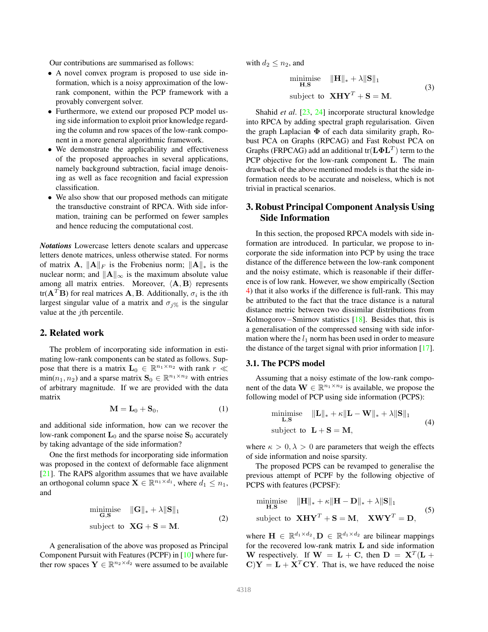<span id="page-1-1"></span>Our contributions are summarised as follows:

- A novel convex program is proposed to use side information, which is a noisy approximation of the lowrank component, within the PCP framework with a provably convergent solver.
- Furthermore, we extend our proposed PCP model using side information to exploit prior knowledge regarding the column and row spaces of the low-rank component in a more general algorithmic framework.
- We demonstrate the applicability and effectiveness of the proposed approaches in several applications, namely background subtraction, facial image denoising as well as face recognition and facial expression classification.
- We also show that our proposed methods can mitigate the transductive constraint of RPCA. With side information, training can be performed on fewer samples and hence reducing the computational cost.

*Notations* Lowercase letters denote scalars and uppercase letters denote matrices, unless otherwise stated. For norms of matrix A,  $\|\mathbf{A}\|_F$  is the Frobenius norm;  $\|\mathbf{A}\|_*$  is the nuclear norm; and  $\|\mathbf{A}\|_{\infty}$  is the maximum absolute value among all matrix entries. Moreover,  $\langle A, B \rangle$  represents tr( $A<sup>T</sup>B$ ) for real matrices A, B. Additionally,  $\sigma_i$  is the *i*th largest singular value of a matrix and  $\sigma_{i\%}$  is the singular value at the *j*th percentile.

## 2. Related work

The problem of incorporating side information in estimating low-rank components can be stated as follows. Suppose that there is a matrix  $L_0 \in \mathbb{R}^{n_1 \times n_2}$  with rank  $r \ll$  $\min(n_1, n_2)$  and a sparse matrix  $\mathbf{S}_0 \in \mathbb{R}^{n_1 \times n_2}$  with entries of arbitrary magnitude. If we are provided with the data matrix

$$
\mathbf{M} = \mathbf{L}_0 + \mathbf{S}_0,\tag{1}
$$

and additional side information, how can we recover the low-rank component  $L_0$  and the sparse noise  $S_0$  accurately by taking advantage of the side information?

One the first methods for incorporating side information was proposed in the context of deformable face alignment [\[21\]](#page-8-15). The RAPS algorithm assumes that we have available an orthogonal column space  $\mathbf{X} \in \mathbb{R}^{n_1 \times d_1}$ , where  $d_1 \leq n_1$ , and

$$
\begin{array}{ll}\n\text{minimise} & \|\mathbf{G}\|_{*} + \lambda \|\mathbf{S}\|_{1} \\
\mathbf{G}, \mathbf{S} & \text{subject to} \quad \mathbf{XG} + \mathbf{S} = \mathbf{M}.\n\end{array} \tag{2}
$$

A generalisation of the above was proposed as Principal Component Pursuit with Features (PCPF) in [\[10\]](#page-8-14) where further row spaces  $\mathbf{Y} \in \mathbb{R}^{n_2 \times d_2}$  were assumed to be available with  $d_2 \leq n_2$ , and

$$
\begin{aligned}\n\text{minimize} & \quad \|\mathbf{H}\|_{*} + \lambda \|\mathbf{S}\|_{1} \\
\text{subject to} & \quad \mathbf{X}\mathbf{H}\mathbf{Y}^{T} + \mathbf{S} = \mathbf{M}.\n\end{aligned} \tag{3}
$$

Shahid *et al*. [\[23,](#page-8-23) [24\]](#page-8-24) incorporate structural knowledge into RPCA by adding spectral graph regularisation. Given the graph Laplacian  $\Phi$  of each data similarity graph, Robust PCA on Graphs (RPCAG) and Fast Robust PCA on Graphs (FRPCAG) add an additional tr $(\mathbf{L}\mathbf{\Phi}\mathbf{L}^T)$  term to the PCP objective for the low-rank component L. The main drawback of the above mentioned models is that the side information needs to be accurate and noiseless, which is not trivial in practical scenarios.

# 3. Robust Principal Component Analysis Using Side Information

In this section, the proposed RPCA models with side information are introduced. In particular, we propose to incorporate the side information into PCP by using the trace distance of the difference between the low-rank component and the noisy estimate, which is reasonable if their difference is of low rank. However, we show empirically (Section [4\)](#page-3-0) that it also works if the difference is full-rank. This may be attributed to the fact that the trace distance is a natural distance metric between two dissimilar distributions from Kolmogorov−Smirnov statistics [\[18\]](#page-8-25). Besides that, this is a generalisation of the compressed sensing with side information where the  $l_1$  norm has been used in order to measure the distance of the target signal with prior information [\[17\]](#page-8-13).

#### 3.1. The PCPS model

Assuming that a noisy estimate of the low-rank component of the data  $\mathbf{W} \in \mathbb{R}^{n_1 \times n_2}$  is available, we propose the following model of PCP using side information (PCPS):

$$
\begin{aligned}\n\text{minimize} & \quad \|\mathbf{L}\|_{*} + \kappa \|\mathbf{L} - \mathbf{W}\|_{*} + \lambda \|\mathbf{S}\|_{1} \\
\text{subject to} & \quad \mathbf{L} + \mathbf{S} = \mathbf{M},\n\end{aligned} \tag{4}
$$

where  $\kappa > 0, \lambda > 0$  are parameters that weigh the effects of side information and noise sparsity.

The proposed PCPS can be revamped to generalise the previous attempt of PCPF by the following objective of PCPS with features (PCPSF):

<span id="page-1-0"></span>
$$
\begin{aligned}\n\text{minimize} & \quad \|\mathbf{H}\|_{*} + \kappa \|\mathbf{H} - \mathbf{D}\|_{*} + \lambda \|\mathbf{S}\|_{1} \\
\text{subject to} & \quad \mathbf{X}\mathbf{H}\mathbf{Y}^{T} + \mathbf{S} = \mathbf{M}, \quad \mathbf{X}\mathbf{W}\mathbf{Y}^{T} = \mathbf{D},\n\end{aligned} \tag{5}
$$

where  $\mathbf{H} \in \mathbb{R}^{d_1 \times d_2}, \mathbf{D} \in \mathbb{R}^{d_1 \times d_2}$  are bilinear mappings for the recovered low-rank matrix L and side information W respectively. If  $W = L + C$ , then  $D = X<sup>T</sup>(L +$  $C$ **Y** =  $L + X<sup>T</sup> CY$ . That is, we have reduced the noise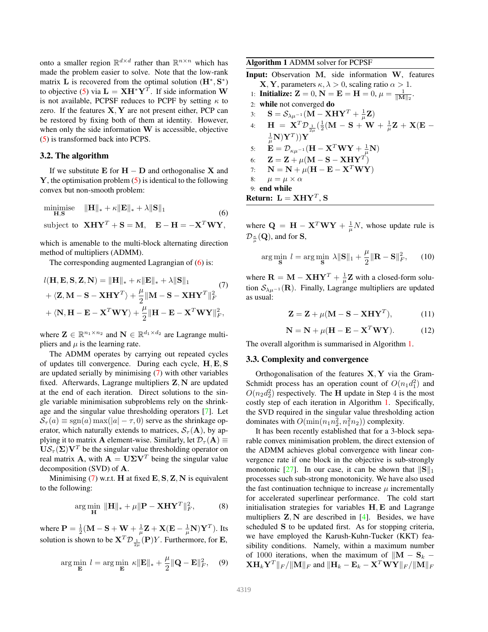<span id="page-2-3"></span>onto a smaller region  $\mathbb{R}^{d \times d}$  rather than  $\mathbb{R}^{n \times n}$  which has made the problem easier to solve. Note that the low-rank matrix L is recovered from the optimal solution  $(\mathbf{H}^*, \mathbf{S}^*)$ to objective [\(5\)](#page-1-0) via  $\mathbf{L} = \mathbf{X} \mathbf{H}^* \mathbf{Y}^T$ . If side information W is not available, PCPSF reduces to PCPF by setting  $\kappa$  to zero. If the features  $X, Y$  are not present either, PCP can be restored by fixing both of them at identity. However, when only the side information  $W$  is accessible, objective [\(5\)](#page-1-0) is transformed back into PCPS.

#### 3.2. The algorithm

If we substitute  $E$  for  $H - D$  and orthogonalise X and  $Y$ , the optimisation problem  $(5)$  is identical to the following convex but non-smooth problem:

<span id="page-2-0"></span>minimise 
$$
\|\mathbf{H}\|_{*} + \kappa \|\mathbf{E}\|_{*} + \lambda \|\mathbf{S}\|_{1}
$$
  
\nsubject to  $\mathbf{XHY}^{T} + \mathbf{S} = \mathbf{M}, \quad \mathbf{E} - \mathbf{H} = -\mathbf{X}^{T}\mathbf{WY},$ 

which is amenable to the multi-block alternating direction method of multipliers (ADMM).

The corresponding augmented Lagrangian of [\(6\)](#page-2-0) is:

<span id="page-2-1"></span>
$$
l(\mathbf{H}, \mathbf{E}, \mathbf{S}, \mathbf{Z}, \mathbf{N}) = \|\mathbf{H}\|_{*} + \kappa \|\mathbf{E}\|_{*} + \lambda \|\mathbf{S}\|_{1}
$$
  
+  $\langle \mathbf{Z}, \mathbf{M} - \mathbf{S} - \mathbf{X} \mathbf{H} \mathbf{Y}^{T} \rangle + \frac{\mu}{2} \|\mathbf{M} - \mathbf{S} - \mathbf{X} \mathbf{H} \mathbf{Y}^{T} \|_{F}^{2}$   
+  $\langle \mathbf{N}, \mathbf{H} - \mathbf{E} - \mathbf{X}^{T} \mathbf{W} \mathbf{Y} \rangle + \frac{\mu}{2} \|\mathbf{H} - \mathbf{E} - \mathbf{X}^{T} \mathbf{W} \mathbf{Y} \|_{F}^{2},$ 

where  $\mathbf{Z} \in \mathbb{R}^{n_1 \times n_2}$  and  $\mathbf{N} \in \mathbb{R}^{d_1 \times d_2}$  are Lagrange multipliers and  $\mu$  is the learning rate.

The ADMM operates by carrying out repeated cycles of updates till convergence. During each cycle, H, E, S are updated serially by minimising [\(7\)](#page-2-1) with other variables fixed. Afterwards, Lagrange multipliers Z, N are updated at the end of each iteration. Direct solutions to the single variable minimisation subproblems rely on the shrinkage and the singular value thresholding operators [\[7\]](#page-8-0). Let  $S_{\tau}(a) \equiv \text{sgn}(a) \max(|a| - \tau, 0)$  serve as the shrinkage operator, which naturally extends to matrices,  $S_{\tau}({\bf A})$ , by applying it to matrix **A** element-wise. Similarly, let  $\mathcal{D}_{\tau}(\mathbf{A}) \equiv$  $\mathbf{U}\mathcal{S}_{\tau}(\Sigma)\mathbf{V}^T$  be the singular value thresholding operator on real matrix **A**, with  $\mathbf{A} = \mathbf{U} \Sigma \mathbf{V}^T$  being the singular value decomposition (SVD) of A.

Minimising  $(7)$  w.r.t. H at fixed  $E$ ,  $S$ ,  $Z$ ,  $N$  is equivalent to the following:

$$
\arg\min_{\mathbf{H}} \|\mathbf{H}\|_{*} + \mu \|\mathbf{P} - \mathbf{X}\mathbf{H}\mathbf{Y}^{T}\|_{F}^{2},\tag{8}
$$

where  $\mathbf{P} = \frac{1}{2}(\mathbf{M} - \mathbf{S} + \mathbf{W} + \frac{1}{\mu})$  $\frac{1}{\mu} \mathbf{Z} + \mathbf{X}(\mathbf{E} - \frac{1}{\mu})$  $\frac{1}{\mu} \mathbf{N} ) \mathbf{Y}^T )$ . Its solution is shown to be  $\mathbf{X}^T \mathcal{D}_{\frac{1}{2\mu}}(\mathbf{P}) Y$ . Furthermore, for **E**,

$$
\arg\min_{\mathbf{E}} l = \arg\min_{\mathbf{E}} \kappa \|\mathbf{E}\|_{*} + \frac{\mu}{2} \|\mathbf{Q} - \mathbf{E}\|_{F}^{2}, \quad (9)
$$

<span id="page-2-2"></span>Algorithm 1 ADMM solver for PCPSF

Input: Observation M, side information W, features **X**, **Y**, parameters  $\kappa, \lambda > 0$ , scaling ratio  $\alpha > 1$ .

- 1: **Initialize:**  $Z = 0$ ,  $N = E = H = 0$ ,  $\mu = \frac{1}{\|M\|_2}$ .
- 2: while not converged do 3:  $\mathbf{S} = \mathcal{S}_{\lambda \mu^{-1}} (\mathbf{M} - \mathbf{X} \mathbf{H} \mathbf{Y}^T + \frac{1}{\mu})$  $\frac{1}{\mu} \mathbf{Z})$ 4:  $\mathbf{H} = \mathbf{X}^T \mathcal{D}_{\frac{1}{2\mu}}(\frac{1}{2}(\mathbf{M} - \mathbf{S} + \mathbf{W} + \frac{1}{\mu}))$  $\frac{1}{\mu} \mathbf{Z} + \mathbf{X}(\mathbf{E} -$ 1  $\frac{1}{\mu} \mathbf{N} ) \mathbf{Y}^T )) \mathbf{Y}$ 5:  $\mathbf{\dot{E}} = \mathcal{D}_{\kappa \mu^{-1}} (\mathbf{H} - \mathbf{X}^T \mathbf{W} \mathbf{Y} + \frac{1}{\mu})$  $\frac{1}{\mu} \mathbf{N})$ 6:  $\mathbf{Z} = \mathbf{Z} + \mu(\mathbf{M} - \mathbf{S} - \mathbf{X}\mathbf{H}\mathbf{Y}^T)$ 7:  $\mathbf{N} = \mathbf{N} + \mu(\mathbf{H} - \mathbf{E} - \mathbf{X}^T \mathbf{W} \mathbf{Y})$ 8:  $\mu = \mu \times \alpha$ 9: end while Return:  $L = XHY^T, S$

where  $\mathbf{Q} = \mathbf{H} - \mathbf{X}^T \mathbf{W} \mathbf{Y} + \frac{1}{\mu}$  $\frac{1}{\mu}N$ , whose update rule is  ${\mathcal D}_{\frac{\kappa}{\mu}}({\mathbf Q}),$  and for  ${\mathbf S},$ 

$$
\arg\min_{\mathbf{S}} l = \arg\min_{\mathbf{S}} \lambda \|\mathbf{S}\|_1 + \frac{\mu}{2} \|\mathbf{R} - \mathbf{S}\|_F^2, \qquad (10)
$$

where  $\mathbf{R} = \mathbf{M} - \mathbf{X} \mathbf{H} \mathbf{Y}^T + \frac{1}{H}$  $\frac{1}{\mu} \mathbf{Z}$  with a closed-form solution  $S_{\lambda\mu^{-1}}(\mathbf{R})$ . Finally, Lagrange multipliers are updated as usual:

$$
\mathbf{Z} = \mathbf{Z} + \mu(\mathbf{M} - \mathbf{S} - \mathbf{X}\mathbf{H}\mathbf{Y}^T),
$$
 (11)

$$
\mathbf{N} = \mathbf{N} + \mu(\mathbf{H} - \mathbf{E} - \mathbf{X}^T \mathbf{W} \mathbf{Y}).
$$
 (12)

The overall algorithm is summarised in Algorithm [1.](#page-2-2)

#### 3.3. Complexity and convergence

Orthogonalisation of the features  $X, Y$  via the Gram-Schmidt process has an operation count of  $O(n_1d_1^2)$  and  $O(n_2d_2^2)$  respectively. The H update in Step 4 is the most costly step of each iteration in Algorithm [1.](#page-2-2) Specifically, the SVD required in the singular value thresholding action dominates with  $O(\min(n_1 n_2^2, n_1^2 n_2))$  complexity.

It has been recently established that for a 3-block separable convex minimisation problem, the direct extension of the ADMM achieves global convergence with linear convergence rate if one block in the objective is sub-strongly monotonic [\[27\]](#page-8-26). In our case, it can be shown that  $||S||_1$ processes such sub-strong monotonicity. We have also used the fast continuation technique to increase  $\mu$  incrementally for accelerated superlinear performance. The cold start initialisation strategies for variables H, E and Lagrange multipliers  $Z$ , N are described in  $[4]$ . Besides, we have scheduled S to be updated first. As for stopping criteria, we have employed the Karush-Kuhn-Tucker (KKT) feasibility conditions. Namely, within a maximum number of 1000 iterations, when the maximum of  $\|\mathbf{M} - \mathbf{S}_k\|$  $\mathbf{X} \mathbf{H}_k \mathbf{Y}^T \|_F / \| \mathbf{M} \|_F$  and  $\| \mathbf{H}_k - \mathbf{E}_k - \mathbf{X}^T \mathbf{W} \mathbf{Y} \|_F / \| \mathbf{M} \|_F$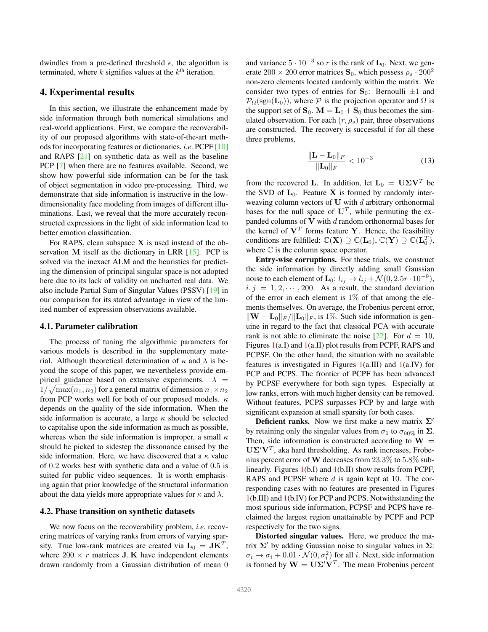<span id="page-3-1"></span>dwindles from a pre-defined threshold  $\epsilon$ , the algorithm is terminated, where  $k$  signifies values at the  $k<sup>th</sup>$  iteration.

## <span id="page-3-0"></span>4. Experimental results

In this section, we illustrate the enhancement made by side information through both numerical simulations and real-world applications. First, we compare the recoverability of our proposed algorithms with state-of-the-art methods for incorporating features or dictionaries, *i.e*. PCPF [\[10\]](#page-8-14) and RAPS [\[21\]](#page-8-15) on synthetic data as well as the baseline PCP [\[7\]](#page-8-0) when there are no features available. Second, we show how powerful side information can be for the task of object segmentation in video pre-processing. Third, we demonstrate that side information is instructive in the lowdimensionality face modeling from images of different illuminations. Last, we reveal that the more accurately reconstructed expressions in the light of side information lead to better emotion classification.

For RAPS, clean subspace  $X$  is used instead of the observation M itself as the dictionary in LRR  $[15]$ . PCP is solved via the inexact ALM and the heuristics for predicting the dimension of principal singular space is not adopted here due to its lack of validity on uncharted real data. We also include Partial Sum of Singular Values (PSSV) [\[19\]](#page-8-29) in our comparison for its stated advantage in view of the limited number of expression observations available.

#### 4.1. Parameter calibration

The process of tuning the algorithmic parameters for various models is described in the supplementary material. Although theoretical determination of  $\kappa$  and  $\lambda$  is beyond the scope of this paper, we nevertheless provide empirical guidance based on extensive experiments.  $\lambda$  =  $1/\sqrt{\max(n_1, n_2)}$  for a general matrix of dimension  $n_1 \times n_2$ from PCP works well for both of our proposed models.  $\kappa$ depends on the quality of the side information. When the side information is accurate, a large  $\kappa$  should be selected to capitalise upon the side information as much as possible, whereas when the side information is improper, a small  $\kappa$ should be picked to sidestep the dissonance caused by the side information. Here, we have discovered that a  $\kappa$  value of 0.2 works best with synthetic data and a value of 0.5 is suited for public video sequences. It is worth emphasising again that prior knowledge of the structural information about the data yields more appropriate values for  $\kappa$  and  $\lambda$ .

#### 4.2. Phase transition on synthetic datasets

We now focus on the recoverability problem, *i.e*. recovering matrices of varying ranks from errors of varying sparsity. True low-rank matrices are created via  $L_0 = JK^T$ , where  $200 \times r$  matrices **J**, **K** have independent elements drawn randomly from a Gaussian distribution of mean 0

and variance  $5 \cdot 10^{-3}$  so r is the rank of  $\mathbf{L}_0$ . Next, we generate  $200 \times 200$  error matrices  $S_0$ , which possess  $\rho_s \cdot 200^2$ non-zero elements located randomly within the matrix. We consider two types of entries for  $S_0$ : Bernoulli  $\pm 1$  and  $\mathcal{P}_{\Omega}(\text{sgn}(\mathbf{L}_{0}))$ , where  $\mathcal{P}$  is the projection operator and  $\Omega$  is the support set of  $S_0$ .  $M = L_0 + S_0$  thus becomes the simulated observation. For each  $(r, \rho_s)$  pair, three observations are constructed. The recovery is successful if for all these three problems,

$$
\frac{\|\mathbf{L} - \mathbf{L}_0\|_F}{\|\mathbf{L}_0\|_F} < 10^{-3} \tag{13}
$$

from the recovered L. In addition, let  $L_0 = U\Sigma V^T$  be the SVD of  $L_0$ . Feature X is formed by randomly interweaving column vectors of  $U$  with  $d$  arbitrary orthonormal bases for the null space of  $U<sup>T</sup>$ , while permuting the expanded columns of  $V$  with  $d$  random orthonormal bases for the kernel of  $V^T$  forms feature Y. Hence, the feasibility conditions are fulfilled:  $\mathbb{C}(\mathbf{X}) \supseteq \mathbb{C}(\mathbf{L}_0)$ ,  $\mathbb{C}(\mathbf{Y}) \supseteq \mathbb{C}(\mathbf{L}_0^T)$ , where  $\mathbb C$  is the column space operator.

Entry-wise corruptions. For these trials, we construct the side information by directly adding small Gaussian noise to each element of  $\mathbf{L}_0: l_{ij} \to l_{ij} + \mathcal{N}(0, 2.5r \cdot 10^{-9}),$  $i, j = 1, 2, \dots, 200$ . As a result, the standard deviation of the error in each element is  $1\%$  of that among the elements themselves. On average, the Frobenius percent error,  $\|\mathbf{W} - \mathbf{L}_0\|_F / \|\mathbf{L}_0\|_F$ , is 1%. Such side information is genuine in regard to the fact that classical PCA with accurate rank is not able to eliminate the noise  $[22]$ . For  $d = 10$ , Figures [1\(](#page-4-0)a.I) and [1\(](#page-4-0)a.II) plot results from PCPF, RAPS and PCPSF. On the other hand, the situation with no available features is investigated in Figures  $1(a.\text{III})$  $1(a.\text{III})$  and  $1(a.\text{IV})$  for PCP and PCPS. The frontier of PCPF has been advanced by PCPSF everywhere for both sign types. Especially at low ranks, errors with much higher density can be removed. Without features, PCPS surpasses PCP by and large with significant expansion at small sparsity for both cases.

**Deficient ranks.** Now we first make a new matrix  $\Sigma'$ by retaining only the singular values from  $\sigma_1$  to  $\sigma_{90\%}$  in  $\Sigma$ . Then, side information is constructed according to  $W =$  $U\Sigma'V^T$ , aka hard thresholding. As rank increases, Frobenius percent error of W decreases from 23.3% to 5.8% sublinearly. Figures [1\(](#page-4-0)b.I) and [1\(](#page-4-0)b.II) show results from PCPF, RAPS and PCPSF where  $d$  is again kept at 10. The corresponding cases with no features are presented in Figures [1\(](#page-4-0)b.III) and [1\(](#page-4-0)b.IV) for PCP and PCPS. Notwithstanding the most spurious side information, PCPSF and PCPS have reclaimed the largest region unattainable by PCPF and PCP respectively for the two signs.

Distorted singular values. Here, we produce the matrix  $\Sigma'$  by adding Gaussian noise to singular values in  $\Sigma$ :  $\sigma_i \to \sigma_i + 0.01 \cdot \mathcal{N}(0, \sigma_i^2)$  for all *i*. Next, side information is formed by  $\mathbf{W} = \mathbf{U}\mathbf{\Sigma}'\mathbf{V}^T$ . The mean Frobenius percent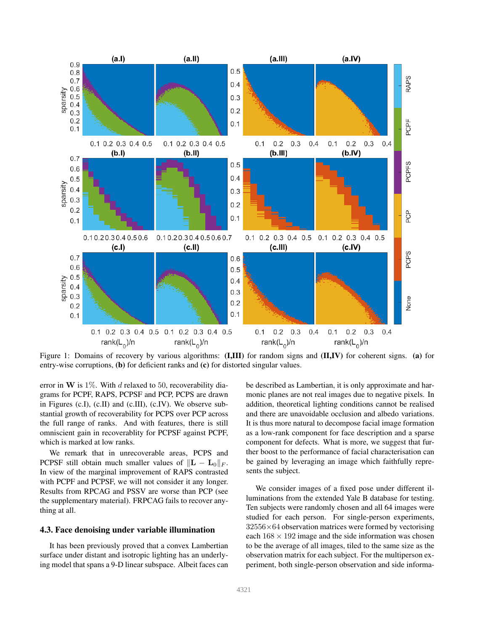<span id="page-4-0"></span>

Figure 1: Domains of recovery by various algorithms: (I,III) for random signs and (II,IV) for coherent signs. (a) for entry-wise corruptions, (b) for deficient ranks and (c) for distorted singular values.

error in W is  $1\%$ . With d relaxed to 50, recoverability diagrams for PCPF, RAPS, PCPSF and PCP, PCPS are drawn in Figures (c.I), (c.II) and (c.III), (c.IV). We observe substantial growth of recoverability for PCPS over PCP across the full range of ranks. And with features, there is still omniscient gain in recoverablity for PCPSF against PCPF, which is marked at low ranks.

We remark that in unrecoverable areas, PCPS and PCPSF still obtain much smaller values of  $\Vert L - L_0 \Vert_F$ . In view of the marginal improvement of RAPS contrasted with PCPF and PCPSF, we will not consider it any longer. Results from RPCAG and PSSV are worse than PCP (see the supplementary material). FRPCAG fails to recover anything at all.

#### 4.3. Face denoising under variable illumination

It has been previously proved that a convex Lambertian surface under distant and isotropic lighting has an underlying model that spans a 9-D linear subspace. Albeit faces can be described as Lambertian, it is only approximate and harmonic planes are not real images due to negative pixels. In addition, theoretical lighting conditions cannot be realised and there are unavoidable occlusion and albedo variations. It is thus more natural to decompose facial image formation as a low-rank component for face description and a sparse component for defects. What is more, we suggest that further boost to the performance of facial characterisation can be gained by leveraging an image which faithfully represents the subject.

We consider images of a fixed pose under different illuminations from the extended Yale B database for testing. Ten subjects were randomly chosen and all 64 images were studied for each person. For single-person experiments,  $32556\times64$  observation matrices were formed by vectorising each  $168 \times 192$  image and the side information was chosen to be the average of all images, tiled to the same size as the observation matrix for each subject. For the multiperson experiment, both single-person observation and side informa-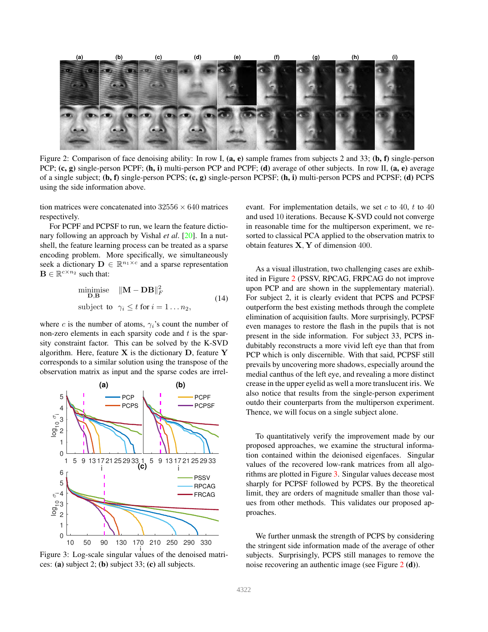<span id="page-5-2"></span><span id="page-5-0"></span>

Figure 2: Comparison of face denoising ability: In row I,  $(a, e)$  sample frames from subjects 2 and 33;  $(b, f)$  single-person PCP;  $(c, g)$  single-person PCPF;  $(h, i)$  multi-person PCP and PCPF;  $(d)$  average of other subjects. In row II,  $(a, e)$  average of a single subject;  $(b, f)$  single-person PCPS;  $(c, g)$  single-person PCPSF;  $(h, i)$  multi-person PCPS and PCPSF;  $(d)$  PCPS using the side information above.

tion matrices were concatenated into  $32556 \times 640$  matrices respectively.

For PCPF and PCPSF to run, we learn the feature dictionary following an approach by Vishal *et al*. [\[20\]](#page-8-31). In a nutshell, the feature learning process can be treated as a sparse encoding problem. More specifically, we simultaneously seek a dictionary  $\mathbf{D} \in \mathbb{R}^{n_1 \times c}$  and a sparse representation  $\mathbf{B} \in \mathbb{R}^{c \times n_2}$  such that:

$$
\begin{array}{ll}\n\text{minimise} & \|\mathbf{M} - \mathbf{DB}\|_F^2 \\
\text{D,B} & \text{subject to} \quad \gamma_i \le t \text{ for } i = 1 \dots n_2,\n\end{array} \tag{14}
$$

where c is the number of atoms,  $\gamma_i$ 's count the number of non-zero elements in each sparsity code and  $t$  is the sparsity constraint factor. This can be solved by the K-SVD algorithm. Here, feature  $X$  is the dictionary  $D$ , feature  $Y$ corresponds to a similar solution using the transpose of the observation matrix as input and the sparse codes are irrel-

<span id="page-5-1"></span>

i Figure 3: Log-scale singular values of the denoised matrices: (a) subject 2; (b) subject 33; (c) all subjects.

evant. For implementation details, we set  $c$  to 40,  $t$  to 40 and used 10 iterations. Because K-SVD could not converge in reasonable time for the multiperson experiment, we resorted to classical PCA applied to the observation matrix to obtain features X, Y of dimension 400.

As a visual illustration, two challenging cases are exhibited in Figure [2](#page-5-0) (PSSV, RPCAG, FRPCAG do not improve upon PCP and are shown in the supplementary material). For subject 2, it is clearly evident that PCPS and PCPSF outperform the best existing methods through the complete elimination of acquisition faults. More surprisingly, PCPSF even manages to restore the flash in the pupils that is not present in the side information. For subject 33, PCPS indubitably reconstructs a more vivid left eye than that from PCP which is only discernible. With that said, PCPSF still prevails by uncovering more shadows, especially around the medial canthus of the left eye, and revealing a more distinct crease in the upper eyelid as well a more translucent iris. We also notice that results from the single-person experiment outdo their counterparts from the multiperson experiment. Thence, we will focus on a single subject alone.

To quantitatively verify the improvement made by our proposed approaches, we examine the structural information contained within the deionised eigenfaces. Singular values of the recovered low-rank matrices from all algorithms are plotted in Figure [3.](#page-5-1) Singular values decease most sharply for PCPSF followed by PCPS. By the theoretical limit, they are orders of magnitude smaller than those values from other methods. This validates our proposed approaches.

We further unmask the strength of PCPS by considering the stringent side information made of the average of other subjects. Surprisingly, PCPS still manages to remove the noise recovering an authentic image (see Figure [2](#page-5-0) (d)).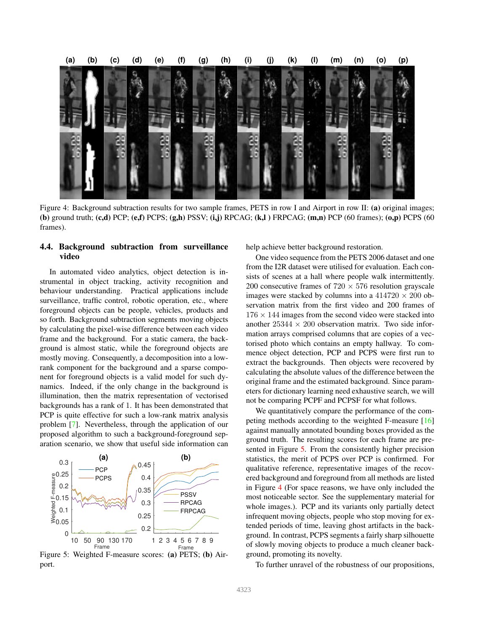<span id="page-6-2"></span><span id="page-6-1"></span>

Figure 4: Background subtraction results for two sample frames, PETS in row I and Airport in row II: (a) original images; (b) ground truth;  $(c,d)$  PCP;  $(e,f)$  PCPS;  $(g,h)$  PSSV;  $(i,j)$  RPCAG;  $(k,l)$  FRPCAG;  $(m,n)$  PCP (60 frames);  $(o,p)$  PCPS (60 frames).

## 4.4. Background subtraction from surveillance video

In automated video analytics, object detection is instrumental in object tracking, activity recognition and behaviour understanding. Practical applications include surveillance, traffic control, robotic operation, etc., where foreground objects can be people, vehicles, products and so forth. Background subtraction segments moving objects by calculating the pixel-wise difference between each video frame and the background. For a static camera, the background is almost static, while the foreground objects are mostly moving. Consequently, a decomposition into a lowrank component for the background and a sparse component for foreground objects is a valid model for such dynamics. Indeed, if the only change in the background is illumination, then the matrix representation of vectorised backgrounds has a rank of 1. It has been demonstrated that PCP is quite effective for such a low-rank matrix analysis problem [\[7\]](#page-8-0). Nevertheless, through the application of our proposed algorithm to such a background-foreground separation scenario, we show that useful side information can

<span id="page-6-0"></span>

Figure 5: Weighted F-measure scores: (a) PETS; (b) Airport.

help achieve better background restoration.

One video sequence from the PETS 2006 dataset and one from the I2R dataset were utilised for evaluation. Each consists of scenes at a hall where people walk intermittently. 200 consecutive frames of  $720 \times 576$  resolution grayscale images were stacked by columns into a  $414720 \times 200$  observation matrix from the first video and 200 frames of  $176 \times 144$  images from the second video were stacked into another  $25344 \times 200$  observation matrix. Two side information arrays comprised columns that are copies of a vectorised photo which contains an empty hallway. To commence object detection, PCP and PCPS were first run to extract the backgrounds. Then objects were recovered by calculating the absolute values of the difference between the original frame and the estimated background. Since parameters for dictionary learning need exhaustive search, we will not be comparing PCPF and PCPSF for what follows.

We quantitatively compare the performance of the competing methods according to the weighted F-measure [\[16\]](#page-8-32) against manually annotated bounding boxes provided as the ground truth. The resulting scores for each frame are presented in Figure [5.](#page-6-0) From the consistently higher precision statistics, the merit of PCPS over PCP is confirmed. For qualitative reference, representative images of the recovered background and foreground from all methods are listed in Figure [4](#page-6-1) (For space reasons, we have only included the most noticeable sector. See the supplementary material for whole images.). PCP and its variants only partially detect infrequent moving objects, people who stop moving for extended periods of time, leaving ghost artifacts in the background. In contrast, PCPS segments a fairly sharp silhouette of slowly moving objects to produce a much cleaner background, promoting its novelty.

To further unravel of the robustness of our propositions,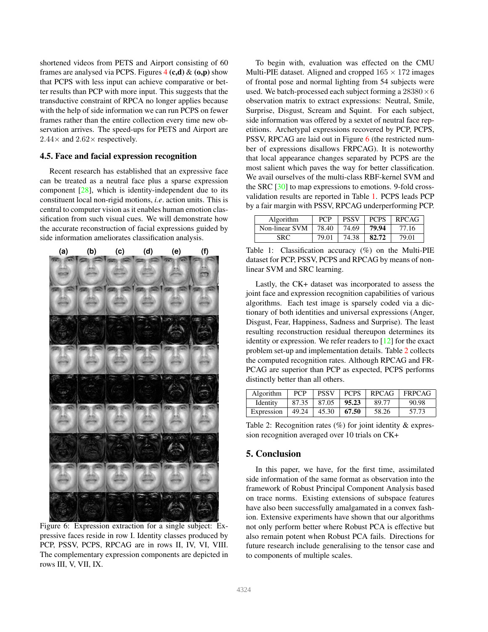<span id="page-7-3"></span>shortened videos from PETS and Airport consisting of 60 frames are analysed via PCPS. Figures  $4(c,d)$  $4(c,d)$  &  $(o,p)$  show that PCPS with less input can achieve comparative or better results than PCP with more input. This suggests that the transductive constraint of RPCA no longer applies because with the help of side information we can run PCPS on fewer frames rather than the entire collection every time new observation arrives. The speed-ups for PETS and Airport are  $2.44\times$  and  $2.62\times$  respectively.

#### 4.5. Face and facial expression recognition

Recent research has established that an expressive face can be treated as a neutral face plus a sparse expression component  $[28]$ , which is identity-independent due to its constituent local non-rigid motions, *i.e*. action units. This is central to computer vision as it enables human emotion classification from such visual cues. We will demonstrate how the accurate reconstruction of facial expressions guided by side information ameliorates classification analysis.

<span id="page-7-0"></span>

Figure 6: Expression extraction for a single subject: Expressive faces reside in row I. Identity classes produced by PCP, PSSV, PCPS, RPCAG are in rows II, IV, VI, VIII. The complementary expression components are depicted in rows III, V, VII, IX.

To begin with, evaluation was effected on the CMU Multi-PIE dataset. Aligned and cropped  $165 \times 172$  images of frontal pose and normal lighting from 54 subjects were used. We batch-processed each subject forming a  $28380\times6$ observation matrix to extract expressions: Neutral, Smile, Surprise, Disgust, Scream and Squint. For each subject, side information was offered by a sextet of neutral face repetitions. Archetypal expressions recovered by PCP, PCPS, PSSV, RPCAG are laid out in Figure [6](#page-7-0) (the restricted number of expressions disallows FRPCAG). It is noteworthy that local appearance changes separated by PCPS are the most salient which paves the way for better classification. We avail ourselves of the multi-class RBF-kernel SVM and the SRC [\[30\]](#page-8-34) to map expressions to emotions. 9-fold crossvalidation results are reported in Table [1.](#page-7-1) PCPS leads PCP by a fair margin with PSSV, RPCAG underperforming PCP.

<span id="page-7-1"></span>

| Algorithm      | <b>PCP</b> | <b>PSSV</b> | <b>PCPS</b> | <b>RPCAG</b> |
|----------------|------------|-------------|-------------|--------------|
| Non-linear SVM | 78.40      | 74.69       | 79.94       | 77.16        |
| SRC            | 79.01      | 74.38       | 82.72       | 79.01        |

Table 1: Classification accuracy (%) on the Multi-PIE dataset for PCP, PSSV, PCPS and RPCAG by means of nonlinear SVM and SRC learning.

Lastly, the CK+ dataset was incorporated to assess the joint face and expression recognition capabilities of various algorithms. Each test image is sparsely coded via a dictionary of both identities and universal expressions (Anger, Disgust, Fear, Happiness, Sadness and Surprise). The least resulting reconstruction residual thereupon determines its identity or expression. We refer readers to  $[12]$  for the exact problem set-up and implementation details. Table [2](#page-7-2) collects the computed recognition rates. Although RPCAG and FR-PCAG are superior than PCP as expected, PCPS performs distinctly better than all others.

<span id="page-7-2"></span>

| Algorithm  | <b>PCP</b> | <b>PSSV</b> | <b>PCPS</b> | <b>RPCAG</b> | $\perp$ FRPCAG |
|------------|------------|-------------|-------------|--------------|----------------|
| Identity   | 87.35      | 87.05       | 95.23       | 89.77        | 90.98          |
| Expression | 49.24      | 45.30       | 67.50       | 58.26        | 57.73          |

Table 2: Recognition rates  $(\%)$  for joint identity & expression recognition averaged over 10 trials on CK+

## 5. Conclusion

In this paper, we have, for the first time, assimilated side information of the same format as observation into the framework of Robust Principal Component Analysis based on trace norms. Existing extensions of subspace features have also been successfully amalgamated in a convex fashion. Extensive experiments have shown that our algorithms not only perform better where Robust PCA is effective but also remain potent when Robust PCA fails. Directions for future research include generalising to the tensor case and to components of multiple scales.